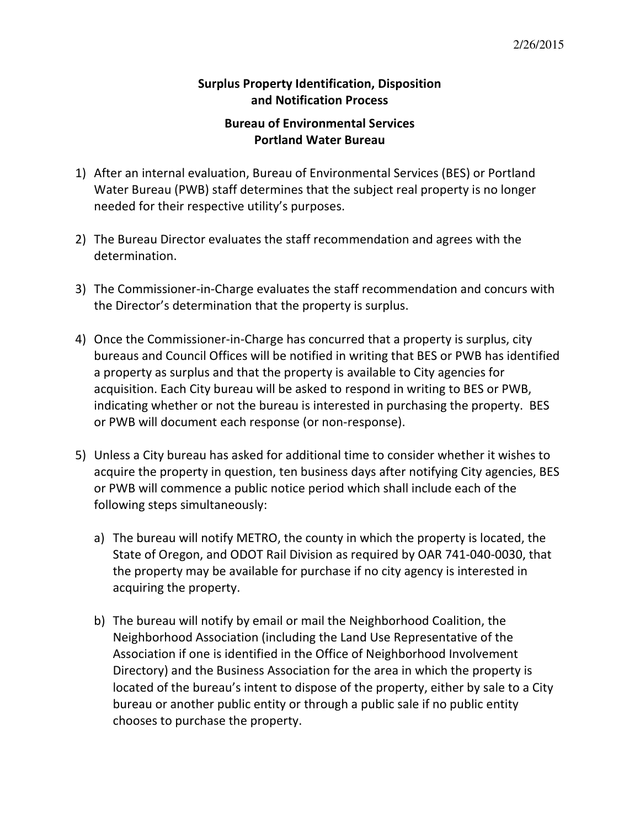## **Surplus Property Identification, Disposition and Notification Process**

## **Bureau of Environmental Services Portland Water Bureau**

- 1) After an internal evaluation, Bureau of Environmental Services (BES) or Portland Water Bureau (PWB) staff determines that the subject real property is no longer needed for their respective utility's purposes.
- 2) The Bureau Director evaluates the staff recommendation and agrees with the determination.
- 3) The Commissioner-in-Charge evaluates the staff recommendation and concurs with the Director's determination that the property is surplus.
- 4) Once the Commissioner-in-Charge has concurred that a property is surplus, city bureaus and Council Offices will be notified in writing that BES or PWB has identified a property as surplus and that the property is available to City agencies for acquisition. Each City bureau will be asked to respond in writing to BES or PWB, indicating whether or not the bureau is interested in purchasing the property. BES or PWB will document each response (or non-response).
- 5) Unless a City bureau has asked for additional time to consider whether it wishes to acquire the property in question, ten business days after notifying City agencies, BES or PWB will commence a public notice period which shall include each of the following steps simultaneously:
	- a) The bureau will notify METRO, the county in which the property is located, the State of Oregon, and ODOT Rail Division as required by OAR 741-040-0030, that the property may be available for purchase if no city agency is interested in acquiring the property.
	- b) The bureau will notify by email or mail the Neighborhood Coalition, the Neighborhood Association (including the Land Use Representative of the Association if one is identified in the Office of Neighborhood Involvement Directory) and the Business Association for the area in which the property is located of the bureau's intent to dispose of the property, either by sale to a City bureau or another public entity or through a public sale if no public entity chooses to purchase the property.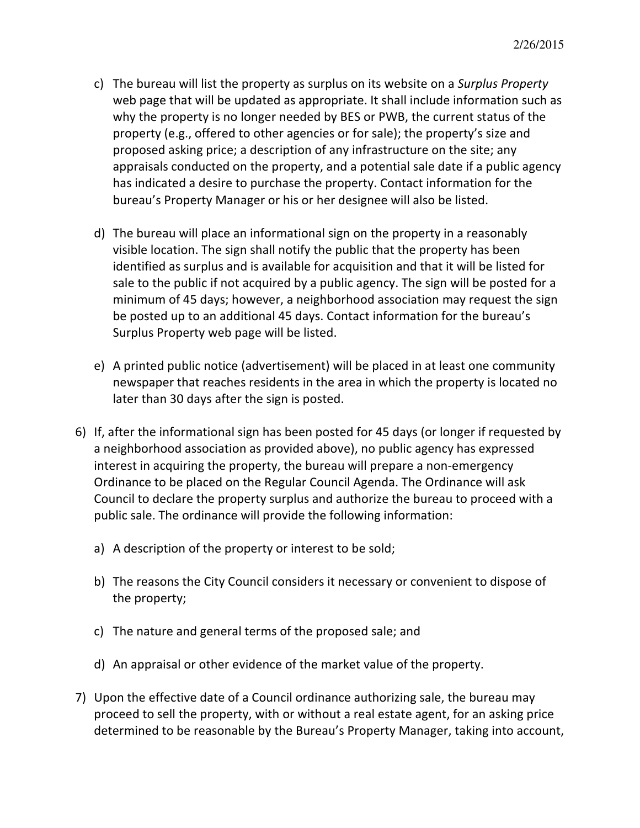- c) The bureau will list the property as surplus on its website on a *Surplus Property* web page that will be updated as appropriate. It shall include information such as why the property is no longer needed by BES or PWB, the current status of the property (e.g., offered to other agencies or for sale); the property's size and proposed asking price; a description of any infrastructure on the site; any appraisals conducted on the property, and a potential sale date if a public agency has indicated a desire to purchase the property. Contact information for the bureau's Property Manager or his or her designee will also be listed.
- d) The bureau will place an informational sign on the property in a reasonably visible location. The sign shall notify the public that the property has been identified as surplus and is available for acquisition and that it will be listed for sale to the public if not acquired by a public agency. The sign will be posted for a minimum of 45 days; however, a neighborhood association may request the sign be posted up to an additional 45 days. Contact information for the bureau's Surplus Property web page will be listed.
- e) A printed public notice (advertisement) will be placed in at least one community newspaper that reaches residents in the area in which the property is located no later than 30 days after the sign is posted.
- 6) If, after the informational sign has been posted for 45 days (or longer if requested by a neighborhood association as provided above), no public agency has expressed interest in acquiring the property, the bureau will prepare a non-emergency Ordinance to be placed on the Regular Council Agenda. The Ordinance will ask Council to declare the property surplus and authorize the bureau to proceed with a public sale. The ordinance will provide the following information:
	- a) A description of the property or interest to be sold;
	- b) The reasons the City Council considers it necessary or convenient to dispose of the property;
	- c) The nature and general terms of the proposed sale; and
	- d) An appraisal or other evidence of the market value of the property.
- 7) Upon the effective date of a Council ordinance authorizing sale, the bureau may proceed to sell the property, with or without a real estate agent, for an asking price determined to be reasonable by the Bureau's Property Manager, taking into account,